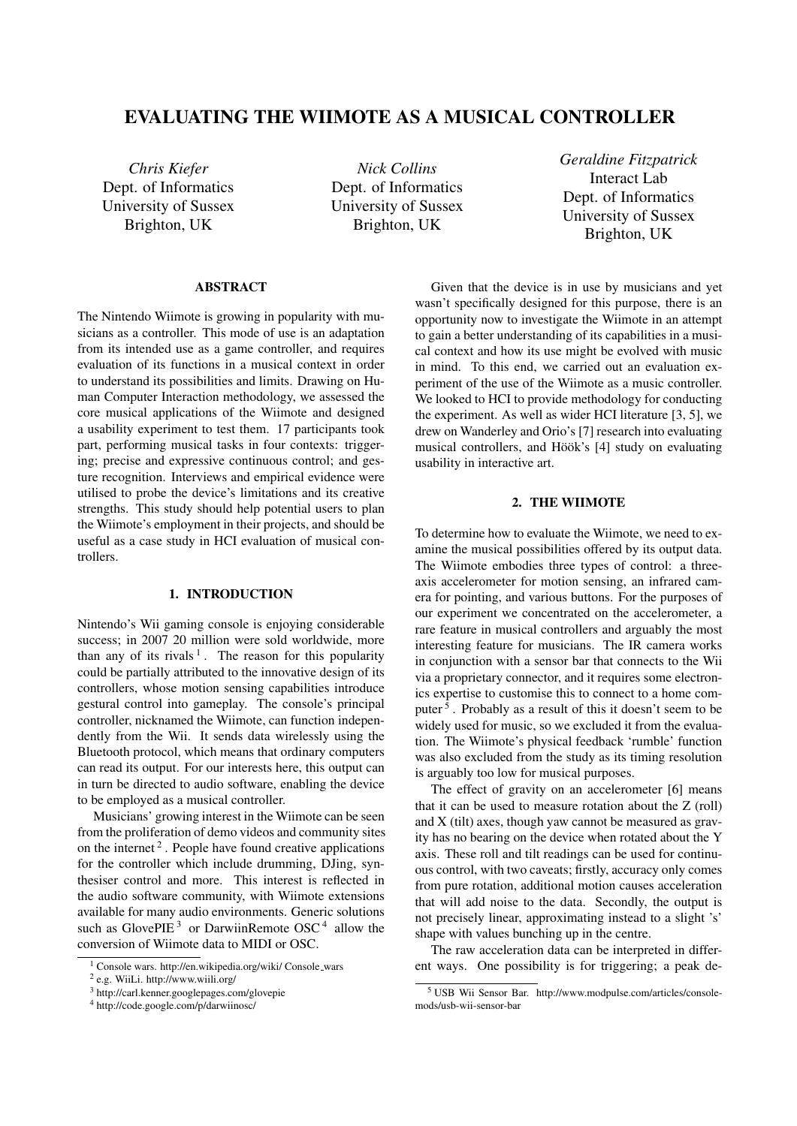# EVALUATING THE WIIMOTE AS A MUSICAL CONTROLLER

*Chris Kiefer* Dept. of Informatics University of Sussex Brighton, UK

*Nick Collins* Dept. of Informatics University of Sussex Brighton, UK

*Geraldine Fitzpatrick* Interact Lab Dept. of Informatics University of Sussex Brighton, UK

# ABSTRACT

The Nintendo Wiimote is growing in popularity with musicians as a controller. This mode of use is an adaptation from its intended use as a game controller, and requires evaluation of its functions in a musical context in order to understand its possibilities and limits. Drawing on Human Computer Interaction methodology, we assessed the core musical applications of the Wiimote and designed a usability experiment to test them. 17 participants took part, performing musical tasks in four contexts: triggering; precise and expressive continuous control; and gesture recognition. Interviews and empirical evidence were utilised to probe the device's limitations and its creative strengths. This study should help potential users to plan the Wiimote's employment in their projects, and should be useful as a case study in HCI evaluation of musical controllers.

# 1. INTRODUCTION

Nintendo's Wii gaming console is enjoying considerable success; in 2007 20 million were sold worldwide, more than any of its rivals  $1$ . The reason for this popularity could be partially attributed to the innovative design of its controllers, whose motion sensing capabilities introduce gestural control into gameplay. The console's principal controller, nicknamed the Wiimote, can function independently from the Wii. It sends data wirelessly using the Bluetooth protocol, which means that ordinary computers can read its output. For our interests here, this output can in turn be directed to audio software, enabling the device to be employed as a musical controller.

Musicians' growing interest in the Wiimote can be seen from the proliferation of demo videos and community sites on the internet  $2$ . People have found creative applications for the controller which include drumming, DJing, synthesiser control and more. This interest is reflected in the audio software community, with Wiimote extensions available for many audio environments. Generic solutions such as GlovePIE<sup>3</sup> or DarwiinRemote OSC<sup>4</sup> allow the conversion of Wiimote data to MIDI or OSC.

Given that the device is in use by musicians and yet wasn't specifically designed for this purpose, there is an opportunity now to investigate the Wiimote in an attempt to gain a better understanding of its capabilities in a musical context and how its use might be evolved with music in mind. To this end, we carried out an evaluation experiment of the use of the Wiimote as a music controller. We looked to HCI to provide methodology for conducting the experiment. As well as wider HCI literature [3, 5], we drew on Wanderley and Orio's [7] research into evaluating musical controllers, and Höök's [4] study on evaluating usability in interactive art.

# 2. THE WIIMOTE

To determine how to evaluate the Wiimote, we need to examine the musical possibilities offered by its output data. The Wiimote embodies three types of control: a threeaxis accelerometer for motion sensing, an infrared camera for pointing, and various buttons. For the purposes of our experiment we concentrated on the accelerometer, a rare feature in musical controllers and arguably the most interesting feature for musicians. The IR camera works in conjunction with a sensor bar that connects to the Wii via a proprietary connector, and it requires some electronics expertise to customise this to connect to a home computer<sup>5</sup>. Probably as a result of this it doesn't seem to be widely used for music, so we excluded it from the evaluation. The Wiimote's physical feedback 'rumble' function was also excluded from the study as its timing resolution is arguably too low for musical purposes.

The effect of gravity on an accelerometer [6] means that it can be used to measure rotation about the Z (roll) and X (tilt) axes, though yaw cannot be measured as gravity has no bearing on the device when rotated about the Y axis. These roll and tilt readings can be used for continuous control, with two caveats; firstly, accuracy only comes from pure rotation, additional motion causes acceleration that will add noise to the data. Secondly, the output is not precisely linear, approximating instead to a slight 's' shape with values bunching up in the centre.

The raw acceleration data can be interpreted in different ways. One possibility is for triggering; a peak de-

<sup>1</sup> Console wars. http://en.wikipedia.org/wiki/ Console wars

<sup>2</sup> e.g. WiiLi. http://www.wiili.org/

<sup>3</sup> http://carl.kenner.googlepages.com/glovepie

<sup>4</sup> http://code.google.com/p/darwiinosc/

<sup>5</sup> USB Wii Sensor Bar. http://www.modpulse.com/articles/consolemods/usb-wii-sensor-bar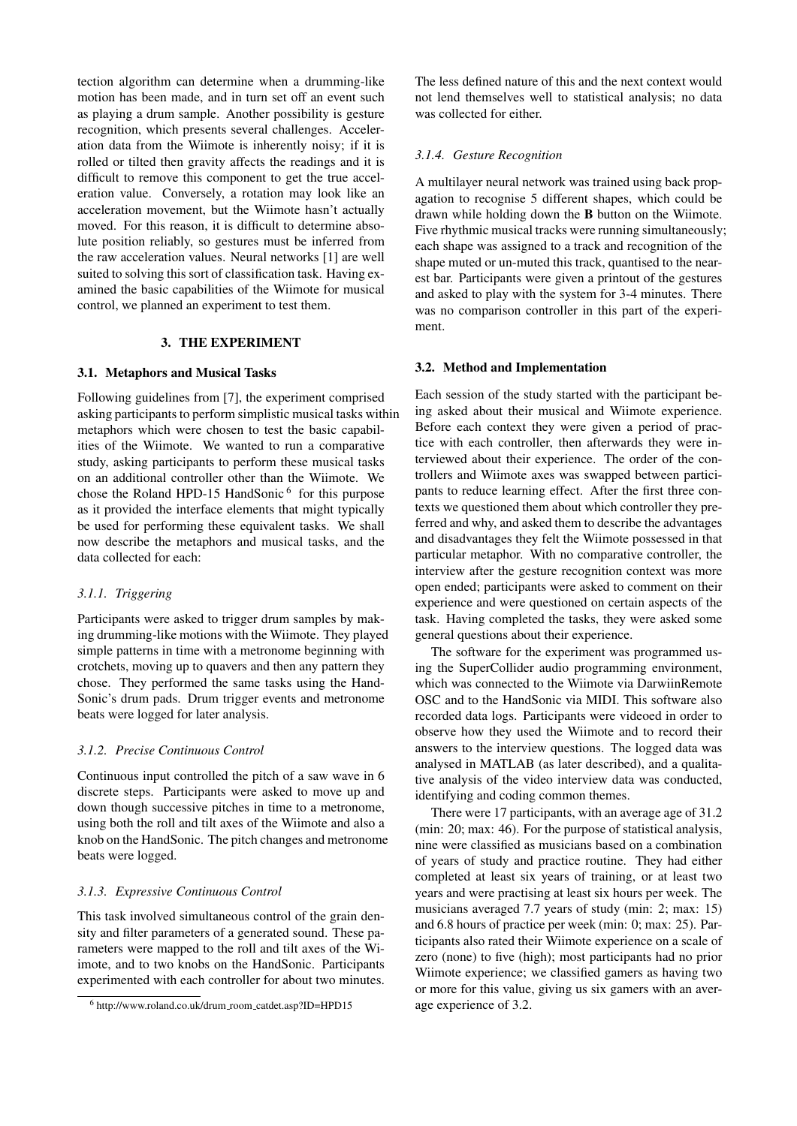tection algorithm can determine when a drumming-like motion has been made, and in turn set off an event such as playing a drum sample. Another possibility is gesture recognition, which presents several challenges. Acceleration data from the Wiimote is inherently noisy; if it is rolled or tilted then gravity affects the readings and it is difficult to remove this component to get the true acceleration value. Conversely, a rotation may look like an acceleration movement, but the Wiimote hasn't actually moved. For this reason, it is difficult to determine absolute position reliably, so gestures must be inferred from the raw acceleration values. Neural networks [1] are well suited to solving this sort of classification task. Having examined the basic capabilities of the Wiimote for musical control, we planned an experiment to test them.

# 3. THE EXPERIMENT

# 3.1. Metaphors and Musical Tasks

Following guidelines from [7], the experiment comprised asking participants to perform simplistic musical tasks within metaphors which were chosen to test the basic capabilities of the Wiimote. We wanted to run a comparative study, asking participants to perform these musical tasks on an additional controller other than the Wiimote. We chose the Roland HPD-15 HandSonic<sup>6</sup> for this purpose as it provided the interface elements that might typically be used for performing these equivalent tasks. We shall now describe the metaphors and musical tasks, and the data collected for each:

# *3.1.1. Triggering*

Participants were asked to trigger drum samples by making drumming-like motions with the Wiimote. They played simple patterns in time with a metronome beginning with crotchets, moving up to quavers and then any pattern they chose. They performed the same tasks using the Hand-Sonic's drum pads. Drum trigger events and metronome beats were logged for later analysis.

## *3.1.2. Precise Continuous Control*

Continuous input controlled the pitch of a saw wave in 6 discrete steps. Participants were asked to move up and down though successive pitches in time to a metronome, using both the roll and tilt axes of the Wiimote and also a knob on the HandSonic. The pitch changes and metronome beats were logged.

# *3.1.3. Expressive Continuous Control*

This task involved simultaneous control of the grain density and filter parameters of a generated sound. These parameters were mapped to the roll and tilt axes of the Wiimote, and to two knobs on the HandSonic. Participants experimented with each controller for about two minutes. The less defined nature of this and the next context would not lend themselves well to statistical analysis; no data was collected for either.

### *3.1.4. Gesture Recognition*

A multilayer neural network was trained using back propagation to recognise 5 different shapes, which could be drawn while holding down the B button on the Wiimote. Five rhythmic musical tracks were running simultaneously; each shape was assigned to a track and recognition of the shape muted or un-muted this track, quantised to the nearest bar. Participants were given a printout of the gestures and asked to play with the system for 3-4 minutes. There was no comparison controller in this part of the experiment.

## 3.2. Method and Implementation

Each session of the study started with the participant being asked about their musical and Wiimote experience. Before each context they were given a period of practice with each controller, then afterwards they were interviewed about their experience. The order of the controllers and Wiimote axes was swapped between participants to reduce learning effect. After the first three contexts we questioned them about which controller they preferred and why, and asked them to describe the advantages and disadvantages they felt the Wiimote possessed in that particular metaphor. With no comparative controller, the interview after the gesture recognition context was more open ended; participants were asked to comment on their experience and were questioned on certain aspects of the task. Having completed the tasks, they were asked some general questions about their experience.

The software for the experiment was programmed using the SuperCollider audio programming environment, which was connected to the Wiimote via DarwiinRemote OSC and to the HandSonic via MIDI. This software also recorded data logs. Participants were videoed in order to observe how they used the Wiimote and to record their answers to the interview questions. The logged data was analysed in MATLAB (as later described), and a qualitative analysis of the video interview data was conducted, identifying and coding common themes.

There were 17 participants, with an average age of 31.2 (min: 20; max: 46). For the purpose of statistical analysis, nine were classified as musicians based on a combination of years of study and practice routine. They had either completed at least six years of training, or at least two years and were practising at least six hours per week. The musicians averaged 7.7 years of study (min: 2; max: 15) and 6.8 hours of practice per week (min: 0; max: 25). Participants also rated their Wiimote experience on a scale of zero (none) to five (high); most participants had no prior Wiimote experience; we classified gamers as having two or more for this value, giving us six gamers with an average experience of 3.2.

<sup>6</sup> http://www.roland.co.uk/drum room catdet.asp?ID=HPD15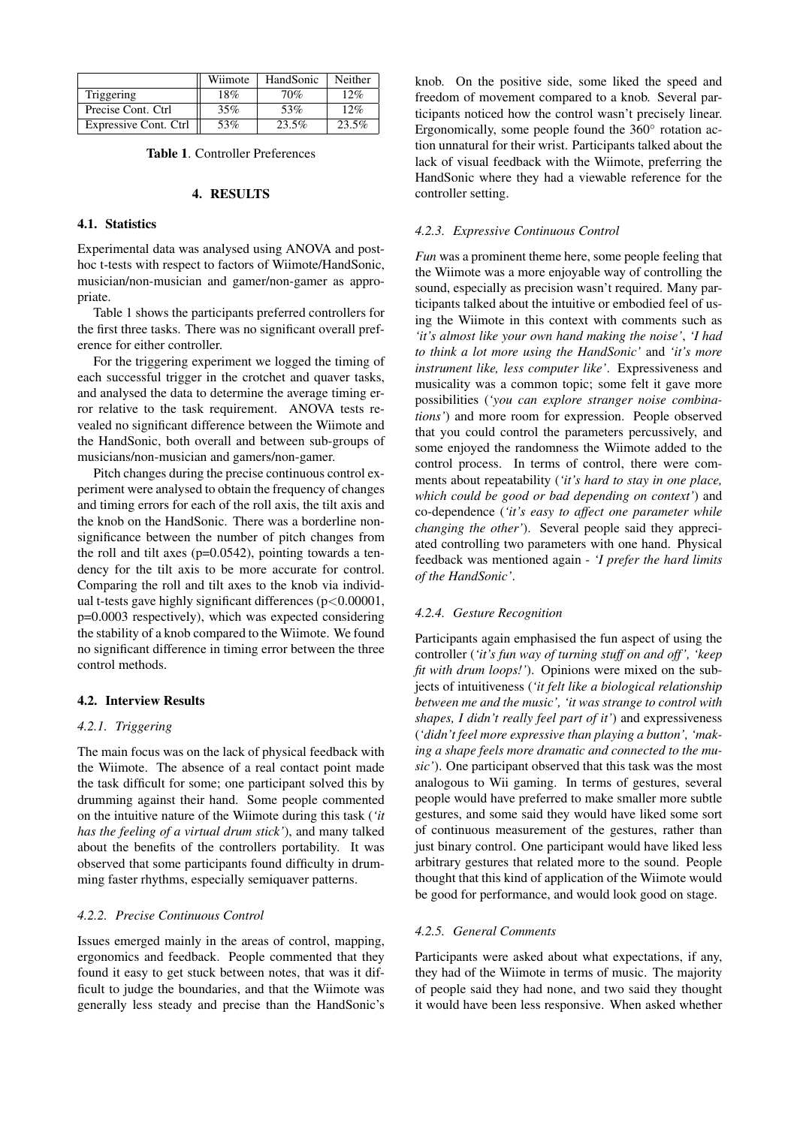|                       | Wiimote | HandSonic | Neither |
|-----------------------|---------|-----------|---------|
| Triggering            | 18%     | 70%       | 12%     |
| Precise Cont. Ctrl    | 35%     | 53%       | 12%     |
| Expressive Cont. Ctrl | 53%     | 23.5%     | 23.5%   |

# 4. RESULTS

## 4.1. Statistics

Experimental data was analysed using ANOVA and posthoc t-tests with respect to factors of Wiimote/HandSonic, musician/non-musician and gamer/non-gamer as appropriate.

Table 1 shows the participants preferred controllers for the first three tasks. There was no significant overall preference for either controller.

For the triggering experiment we logged the timing of each successful trigger in the crotchet and quaver tasks, and analysed the data to determine the average timing error relative to the task requirement. ANOVA tests revealed no significant difference between the Wiimote and the HandSonic, both overall and between sub-groups of musicians/non-musician and gamers/non-gamer.

Pitch changes during the precise continuous control experiment were analysed to obtain the frequency of changes and timing errors for each of the roll axis, the tilt axis and the knob on the HandSonic. There was a borderline nonsignificance between the number of pitch changes from the roll and tilt axes  $(p=0.0542)$ , pointing towards a tendency for the tilt axis to be more accurate for control. Comparing the roll and tilt axes to the knob via individual t-tests gave highly significant differences (p<0.00001, p=0.0003 respectively), which was expected considering the stability of a knob compared to the Wiimote. We found no significant difference in timing error between the three control methods.

#### 4.2. Interview Results

# *4.2.1. Triggering*

The main focus was on the lack of physical feedback with the Wiimote. The absence of a real contact point made the task difficult for some; one participant solved this by drumming against their hand. Some people commented on the intuitive nature of the Wiimote during this task (*'it has the feeling of a virtual drum stick'*), and many talked about the benefits of the controllers portability. It was observed that some participants found difficulty in drumming faster rhythms, especially semiquaver patterns.

# *4.2.2. Precise Continuous Control*

Issues emerged mainly in the areas of control, mapping, ergonomics and feedback. People commented that they found it easy to get stuck between notes, that was it difficult to judge the boundaries, and that the Wiimote was generally less steady and precise than the HandSonic's knob. On the positive side, some liked the speed and freedom of movement compared to a knob. Several participants noticed how the control wasn't precisely linear. Ergonomically, some people found the 360◦ rotation action unnatural for their wrist. Participants talked about the lack of visual feedback with the Wiimote, preferring the HandSonic where they had a viewable reference for the controller setting.

#### *4.2.3. Expressive Continuous Control*

*Fun* was a prominent theme here, some people feeling that the Wiimote was a more enjoyable way of controlling the sound, especially as precision wasn't required. Many participants talked about the intuitive or embodied feel of using the Wiimote in this context with comments such as *'it's almost like your own hand making the noise'*, *'I had to think a lot more using the HandSonic'* and *'it's more instrument like, less computer like'*. Expressiveness and musicality was a common topic; some felt it gave more possibilities (*'you can explore stranger noise combinations'*) and more room for expression. People observed that you could control the parameters percussively, and some enjoyed the randomness the Wiimote added to the control process. In terms of control, there were comments about repeatability (*'it's hard to stay in one place, which could be good or bad depending on context'*) and co-dependence (*'it's easy to affect one parameter while changing the other'*). Several people said they appreciated controlling two parameters with one hand. Physical feedback was mentioned again - *'I prefer the hard limits of the HandSonic'*.

#### *4.2.4. Gesture Recognition*

Participants again emphasised the fun aspect of using the controller (*'it's fun way of turning stuff on and off ', 'keep fit with drum loops!'*). Opinions were mixed on the subjects of intuitiveness (*'it felt like a biological relationship between me and the music', 'it was strange to control with shapes, I didn't really feel part of it'*) and expressiveness (*'didn't feel more expressive than playing a button', 'making a shape feels more dramatic and connected to the music'*). One participant observed that this task was the most analogous to Wii gaming. In terms of gestures, several people would have preferred to make smaller more subtle gestures, and some said they would have liked some sort of continuous measurement of the gestures, rather than just binary control. One participant would have liked less arbitrary gestures that related more to the sound. People thought that this kind of application of the Wiimote would be good for performance, and would look good on stage.

# *4.2.5. General Comments*

Participants were asked about what expectations, if any, they had of the Wiimote in terms of music. The majority of people said they had none, and two said they thought it would have been less responsive. When asked whether